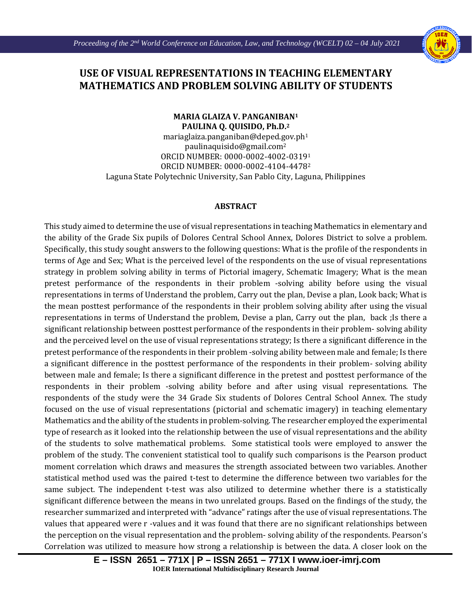Ι



## **USE OF VISUAL REPRESENTATIONS IN TEACHING ELEMENTARY MATHEMATICS AND PROBLEM SOLVING ABILITY OF STUDENTS**

## **MARIA GLAIZA V. PANGANIBAN1 PAULINA Q. QUISIDO, Ph.D.2**

mariaglaiza.panganiban@deped.gov.ph<sup>1</sup> paulinaquisido@gmail.com2 ORCID NUMBER: 0000-0002-4002-03191 ORCID NUMBER: 0000-0002-4104-44782 Laguna State Polytechnic University, San Pablo City, Laguna, Philippines

## **ABSTRACT**

This study aimed to determine the use of visual representations in teaching Mathematics in elementary and the ability of the Grade Six pupils of Dolores Central School Annex, Dolores District to solve a problem. Specifically, this study sought answers to the following questions: What is the profile of the respondents in terms of Age and Sex; What is the perceived level of the respondents on the use of visual representations strategy in problem solving ability in terms of Pictorial imagery, Schematic Imagery; What is the mean pretest performance of the respondents in their problem -solving ability before using the visual representations in terms of Understand the problem, Carry out the plan, Devise a plan, Look back; What is the mean posttest performance of the respondents in their problem solving ability after using the visual representations in terms of Understand the problem, Devise a plan, Carry out the plan, back ;Is there a significant relationship between posttest performance of the respondents in their problem- solving ability and the perceived level on the use of visual representations strategy; Is there a significant difference in the pretest performance of the respondents in their problem -solving ability between male and female; Is there a significant difference in the posttest performance of the respondents in their problem- solving ability between male and female; Is there a significant difference in the pretest and posttest performance of the respondents in their problem -solving ability before and after using visual representations. The respondents of the study were the 34 Grade Six students of Dolores Central School Annex. The study focused on the use of visual representations (pictorial and schematic imagery) in teaching elementary Mathematics and the ability of the students in problem-solving. The researcher employed the experimental type of research as it looked into the relationship between the use of visual representations and the ability of the students to solve mathematical problems. Some statistical tools were employed to answer the problem of the study. The convenient statistical tool to qualify such comparisons is the Pearson product moment correlation which draws and measures the strength associated between two variables. Another statistical method used was the paired t-test to determine the difference between two variables for the same subject. The independent t-test was also utilized to determine whether there is a statistically significant difference between the means in two unrelated groups. Based on the findings of the study, the researcher summarized and interpreted with "advance" ratings after the use of visual representations. The values that appeared were r -values and it was found that there are no significant relationships between the perception on the visual representation and the problem- solving ability of the respondents. Pearson's Correlation was utilized to measure how strong a relationship is between the data. A closer look on the